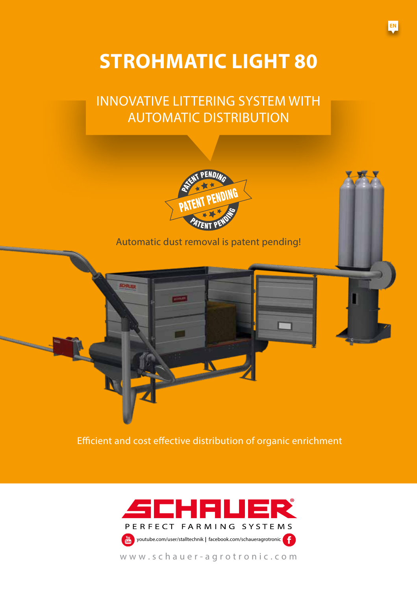# **STROHMATIC LIGHT 80**

## INNOVATIVE LITTERING SYSTEM WITH AUTOMATIC DISTRIBUTION



## Automatic dust removal is patent pending!

**DARP** 

**CHRISE** 

Efficient and cost effective distribution of organic enrichment

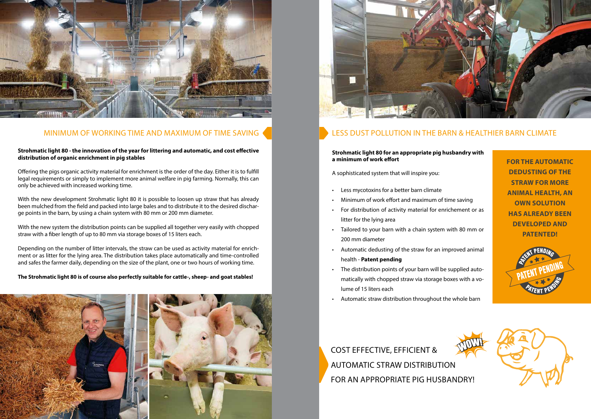

## MINIMUM OF WORKING TIME AND MAXIMUM OF TIME SAVING

### **Strohmatic light 80 - the innovation of the year for littering and automatic, and cost effective distribution of organic enrichment in pig stables**

Offering the pigs organic activity material for enrichment is the order of the day. Either it is to fulfill legal requirements or simply to implement more animal welfare in pig farming. Normally, this can only be achieved with increased working time.

With the new development Strohmatic light 80 it is possible to loosen up straw that has already been mulched from the field and packed into large bales and to distribute it to the desired discharge points in the barn, by using a chain system with 80 mm or 200 mm diameter.

With the new system the distribution points can be supplied all together very easily with chopped straw with a fiber length of up to 80 mm via storage boxes of 15 liters each.

Depending on the number of litter intervals, the straw can be used as activity material for enrichment or as litter for the lying area. The distribution takes place automatically and time-controlled and safes the farmer daily, depending on the size of the plant, one or two hours of working time.

- Less mycotoxins for a better barn climate
- Minimum of work effort and maximum of time saving
- For distribution of activity material for enrichement or as litter for the lying area
- Tailored to your barn with a chain system with 80 mm or 200 mm diameter
- Automatic dedusting of the straw for an improved animal health - **Patent pending**
- The distribution points of your barn will be supplied automatically with chopped straw via storage boxes with a volume of 15 liters each
- Automatic straw distribution throughout the whole barn

### **The Strohmatic light 80 is of course also perfectly suitable for cattle-, sheep- and goat stables!**





## LESS DUST POLLUTION IN THE BARN & HEALTHIER BARN CLIMATE

COST EFFECTIVE, EFFICIENT & AUTOMATIC STRAW DISTRIBUTION FOR AN APPROPRIATE PIG HUSBANDRY!

## **Strohmatic light 80 for an appropriate pig husbandry with a minimum of work effort**

A sophisticated system that will inspire you:

**FOR THE AUTOMATIC DEDUSTING OF THE STRAW FOR MORE ANIMAL HEALTH, AN OWN SOLUTION HAS ALREADY BEEN DEVELOPED AND PATENTED!**